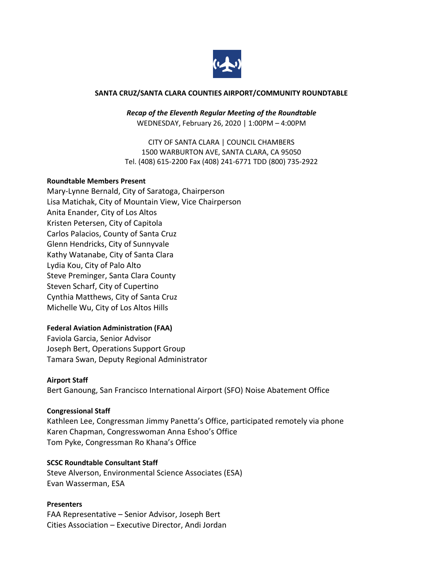

#### **SANTA CRUZ/SANTA CLARA COUNTIES AIRPORT/COMMUNITY ROUNDTABLE**

*Recap of the Eleventh Regular Meeting of the Roundtable* WEDNESDAY, February 26, 2020 | 1:00PM – 4:00PM

CITY OF SANTA CLARA | COUNCIL CHAMBERS 1500 WARBURTON AVE, SANTA CLARA, CA 95050 Tel. (408) 615-2200 Fax (408) 241-6771 TDD (800) 735-2922

#### **Roundtable Members Present**

Mary-Lynne Bernald, City of Saratoga, Chairperson Lisa Matichak, City of Mountain View, Vice Chairperson Anita Enander, City of Los Altos Kristen Petersen, City of Capitola Carlos Palacios, County of Santa Cruz Glenn Hendricks, City of Sunnyvale Kathy Watanabe, City of Santa Clara Lydia Kou, City of Palo Alto Steve Preminger, Santa Clara County Steven Scharf, City of Cupertino Cynthia Matthews, City of Santa Cruz Michelle Wu, City of Los Altos Hills

### **Federal Aviation Administration (FAA)**

Faviola Garcia, Senior Advisor Joseph Bert, Operations Support Group Tamara Swan, Deputy Regional Administrator

### **Airport Staff**

Bert Ganoung, San Francisco International Airport (SFO) Noise Abatement Office

#### **Congressional Staff**

Kathleen Lee, Congressman Jimmy Panetta's Office, participated remotely via phone Karen Chapman, Congresswoman Anna Eshoo's Office Tom Pyke, Congressman Ro Khana's Office

#### **SCSC Roundtable Consultant Staff**

Steve Alverson, Environmental Science Associates (ESA) Evan Wasserman, ESA

#### **Presenters**

FAA Representative – Senior Advisor, Joseph Bert Cities Association – Executive Director, Andi Jordan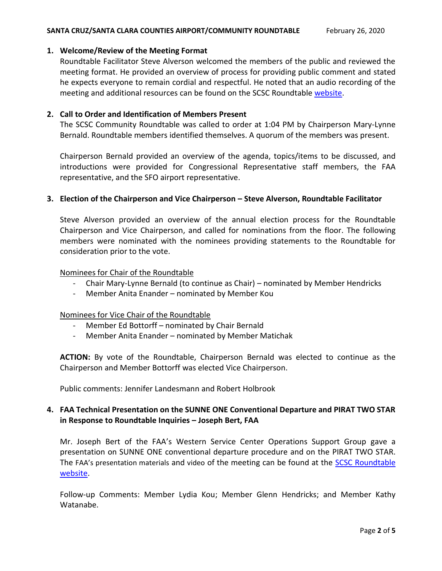# **1. Welcome/Review of the Meeting Format**

Roundtable Facilitator Steve Alverson welcomed the members of the public and reviewed the meeting format. He provided an overview of process for providing public comment and stated he expects everyone to remain cordial and respectful. He noted that an audio recording of the meeting and additional resources can be found on the SCSC Roundtable [website.](https://scscroundtable.org/meetings/)

## **2. Call to Order and Identification of Members Present**

The SCSC Community Roundtable was called to order at 1:04 PM by Chairperson Mary-Lynne Bernald. Roundtable members identified themselves. A quorum of the members was present.

Chairperson Bernald provided an overview of the agenda, topics/items to be discussed, and introductions were provided for Congressional Representative staff members, the FAA representative, and the SFO airport representative.

# **3. Election of the Chairperson and Vice Chairperson – Steve Alverson, Roundtable Facilitator**

Steve Alverson provided an overview of the annual election process for the Roundtable Chairperson and Vice Chairperson, and called for nominations from the floor. The following members were nominated with the nominees providing statements to the Roundtable for consideration prior to the vote.

# Nominees for Chair of the Roundtable

- Chair Mary-Lynne Bernald (to continue as Chair) nominated by Member Hendricks
- Member Anita Enander nominated by Member Kou

# Nominees for Vice Chair of the Roundtable

- Member Ed Bottorff nominated by Chair Bernald
- Member Anita Enander nominated by Member Matichak

**ACTION:** By vote of the Roundtable, Chairperson Bernald was elected to continue as the Chairperson and Member Bottorff was elected Vice Chairperson.

Public comments: Jennifer Landesmann and Robert Holbrook

# **4. FAA Technical Presentation on the SUNNE ONE Conventional Departure and PIRAT TWO STAR in Response to Roundtable Inquiries – Joseph Bert, FAA**

Mr. Joseph Bert of the FAA's Western Service Center Operations Support Group gave a presentation on SUNNE ONE conventional departure procedure and on the PIRAT TWO STAR. The [FAA's presentation materials](https://scscroundtable.org/documents/february-26-2020-faa-presentation-materials-for-the-roundtable-sunne-one-loupe-five-pirat-star/) and [video](https://scscroundtable.org/meetings/sc-sc-roundtable-february-26-2020/#/tab-video) of the meeting can be found at the SCSC Roundtable [website.](https://scscroundtable.org/meetings/)

Follow-up Comments: Member Lydia Kou; Member Glenn Hendricks; and Member Kathy Watanabe.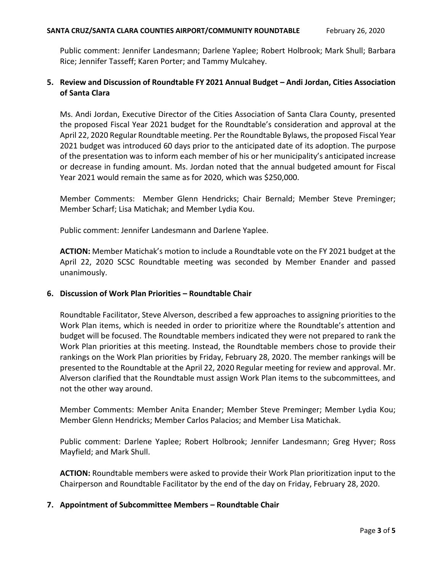Public comment: Jennifer Landesmann; Darlene Yaplee; Robert Holbrook; Mark Shull; Barbara Rice; Jennifer Tasseff; Karen Porter; and Tammy Mulcahey.

# **5. Review and Discussion of Roundtable FY 2021 Annual Budget – Andi Jordan, Cities Association of Santa Clara**

Ms. Andi Jordan, Executive Director of the Cities Association of Santa Clara County, presented the proposed Fiscal Year 2021 budget for the Roundtable's consideration and approval at the April 22, 2020 Regular Roundtable meeting. Per the Roundtable Bylaws, the proposed Fiscal Year 2021 budget was introduced 60 days prior to the anticipated date of its adoption. The purpose of the presentation was to inform each member of his or her municipality's anticipated increase or decrease in funding amount. Ms. Jordan noted that the annual budgeted amount for Fiscal Year 2021 would remain the same as for 2020, which was \$250,000.

Member Comments: Member Glenn Hendricks; Chair Bernald; Member Steve Preminger; Member Scharf; Lisa Matichak; and Member Lydia Kou.

Public comment: Jennifer Landesmann and Darlene Yaplee.

**ACTION:** Member Matichak's motion to include a Roundtable vote on the FY 2021 budget at the April 22, 2020 SCSC Roundtable meeting was seconded by Member Enander and passed unanimously.

# **6. Discussion of Work Plan Priorities – Roundtable Chair**

Roundtable Facilitator, Steve Alverson, described a few approaches to assigning priorities to the Work Plan items, which is needed in order to prioritize where the Roundtable's attention and budget will be focused. The Roundtable members indicated they were not prepared to rank the Work Plan priorities at this meeting. Instead, the Roundtable members chose to provide their rankings on the Work Plan priorities by Friday, February 28, 2020. The member rankings will be presented to the Roundtable at the April 22, 2020 Regular meeting for review and approval. Mr. Alverson clarified that the Roundtable must assign Work Plan items to the subcommittees, and not the other way around.

Member Comments: Member Anita Enander; Member Steve Preminger; Member Lydia Kou; Member Glenn Hendricks; Member Carlos Palacios; and Member Lisa Matichak.

Public comment: Darlene Yaplee; Robert Holbrook; Jennifer Landesmann; Greg Hyver; Ross Mayfield; and Mark Shull.

**ACTION:** Roundtable members were asked to provide their Work Plan prioritization input to the Chairperson and Roundtable Facilitator by the end of the day on Friday, February 28, 2020.

# **7. Appointment of Subcommittee Members – Roundtable Chair**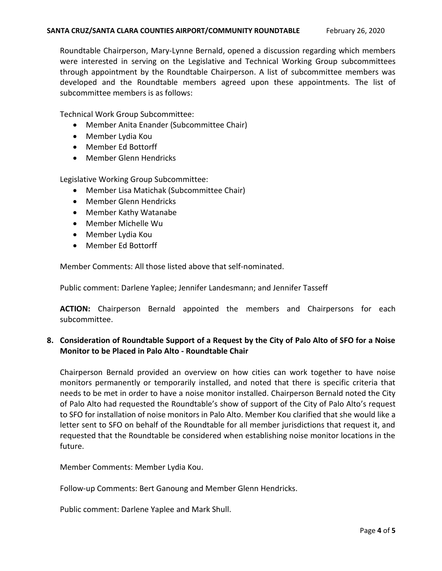Roundtable Chairperson, Mary-Lynne Bernald, opened a discussion regarding which members were interested in serving on the Legislative and Technical Working Group subcommittees through appointment by the Roundtable Chairperson. A list of subcommittee members was developed and the Roundtable members agreed upon these appointments. The list of subcommittee members is as follows:

Technical Work Group Subcommittee:

- Member Anita Enander (Subcommittee Chair)
- Member Lydia Kou
- Member Ed Bottorff
- Member Glenn Hendricks

Legislative Working Group Subcommittee:

- Member Lisa Matichak (Subcommittee Chair)
- Member Glenn Hendricks
- Member Kathy Watanabe
- Member Michelle Wu
- Member Lydia Kou
- Member Ed Bottorff

Member Comments: All those listed above that self-nominated.

Public comment: Darlene Yaplee; Jennifer Landesmann; and Jennifer Tasseff

**ACTION:** Chairperson Bernald appointed the members and Chairpersons for each subcommittee.

# **8. Consideration of Roundtable Support of a Request by the City of Palo Alto of SFO for a Noise Monitor to be Placed in Palo Alto - Roundtable Chair**

Chairperson Bernald provided an overview on how cities can work together to have noise monitors permanently or temporarily installed, and noted that there is specific criteria that needs to be met in order to have a noise monitor installed. Chairperson Bernald noted the City of Palo Alto had requested the Roundtable's show of support of the City of Palo Alto's request to SFO for installation of noise monitors in Palo Alto. Member Kou clarified that she would like a letter sent to SFO on behalf of the Roundtable for all member jurisdictions that request it, and requested that the Roundtable be considered when establishing noise monitor locations in the future.

Member Comments: Member Lydia Kou.

Follow-up Comments: Bert Ganoung and Member Glenn Hendricks.

Public comment: Darlene Yaplee and Mark Shull.